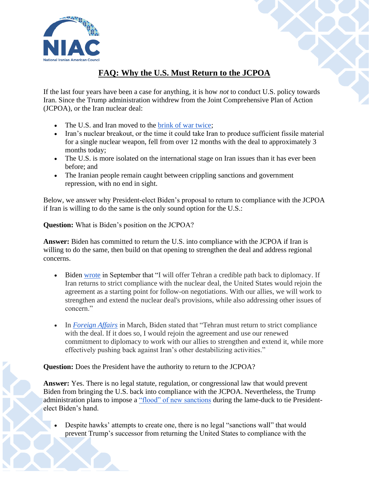

## **FAQ: Why the U.S. Must Return to the JCPOA**

If the last four years have been a case for anything, it is how *not* to conduct U.S. policy towards Iran. Since the Trump administration withdrew from the Joint Comprehensive Plan of Action (JCPOA), or the Iran nuclear deal:

- The U.S. and Iran moved to the [brink of war twice;](https://www.nytimes.com/2020/01/11/us/politics/iran-trump.html)
- Iran's nuclear breakout, or the time it could take Iran to produce sufficient fissile material for a single nuclear weapon, fell from over 12 months with the deal to approximately 3 months today;
- The U.S. is more isolated on the international stage on Iran issues than it has ever been before; and
- The Iranian people remain caught between crippling sanctions and government repression, with no end in sight.

Below, we answer why President-elect Biden's proposal to return to compliance with the JCPOA if Iran is willing to do the same is the only sound option for the U.S.:

**Question:** What is Biden's position on the JCPOA?

**Answer:** Biden has committed to return the U.S. into compliance with the JCPOA if Iran is willing to do the same, then build on that opening to strengthen the deal and address regional concerns.

- Biden [wrote](https://www.cnn.com/2020/09/13/opinions/smarter-way-to-be-tough-on-iran-joe-biden/index.html) in September that "I will offer Tehran a credible path back to diplomacy. If Iran returns to strict compliance with the nuclear deal, the United States would rejoin the agreement as a starting point for follow-on negotiations. With our allies, we will work to strengthen and extend the nuclear deal's provisions, while also addressing other issues of concern."
- In *[Foreign Affairs](https://www.foreignaffairs.com/articles/united-states/2020-01-23/why-america-must-lead-again)* in March, Biden stated that "Tehran must return to strict compliance with the deal. If it does so, I would rejoin the agreement and use our renewed commitment to diplomacy to work with our allies to strengthen and extend it, while more effectively pushing back against Iran's other destabilizing activities."

**Question:** Does the President have the authority to return to the JCPOA?

**Answer:** Yes. There is no legal statute, regulation, or congressional law that would prevent Biden from bringing the U.S. back into compliance with the JCPOA. Nevertheless, the Trump administration plans to impose a ["flood" of new sanctions](https://www.axios.com/trump-administration-iran-sanctions-january-3951f776-09c9-4e55-b0f5-4a9c80e9e974.html) during the lame-duck to tie Presidentelect Biden's hand.

• Despite hawks' attempts to create one, there is no legal "sanctions wall" that would prevent Trump's successor from returning the United States to compliance with the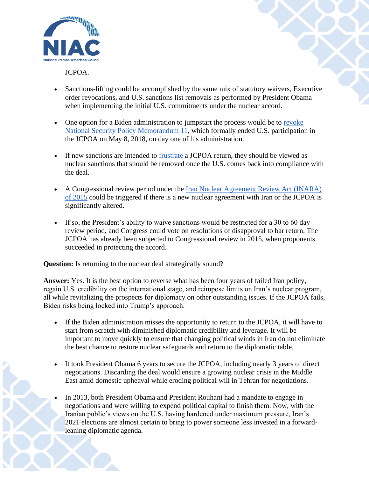

JCPOA.

- Sanctions-lifting could be accomplished by the same mix of statutory waivers, Executive order revocations, and U.S. sanctions list removals as performed by President Obama when implementing the initial U.S. commitments under the nuclear accord.
- One option for a Biden administration to jumpstart the process would be to revoke [National Security Policy Memorandum 11,](https://fas.org/irp/offdocs/nspm/nspm-11.pdf) which formally ended U.S. participation in the JCPOA on May 8, 2018, on day one of his administration.
- If new sanctions are intended to [frustrate a](https://www.axios.com/trump-administration-iran-sanctions-january-3951f776-09c9-4e55-b0f5-4a9c80e9e974.html) JCPOA return, they should be viewed as nuclear sanctions that should be removed once the U.S. comes back into compliance with the deal.
- A Congressional review period under the Iran Nuclear Agreement Review Act (INARA) [of 2015](https://www.congress.gov/114/plaws/publ17/PLAW-114publ17.pdf) could be triggered if there is a new nuclear agreement with Iran or the JCPOA is significantly altered.
- If so, the President's ability to waive sanctions would be restricted for a 30 to 60 day review period, and Congress could vote on resolutions of disapproval to bar return. The JCPOA has already been subjected to Congressional review in 2015, when proponents succeeded in protecting the accord.

**Question:** Is returning to the nuclear deal strategically sound?

**Answer:** Yes. It is the best option to reverse what has been four years of failed Iran policy, regain U.S. credibility on the international stage, and reimpose limits on Iran's nuclear program, all while revitalizing the prospects for diplomacy on other outstanding issues. If the JCPOA fails, Biden risks being locked into Trump's approach.

- If the Biden administration misses the opportunity to return to the JCPOA, it will have to start from scratch with diminished diplomatic credibility and leverage. It will be important to move quickly to ensure that changing political winds in Iran do not eliminate the best chance to restore nuclear safeguards and return to the diplomatic table.
- It took President Obama 6 years to secure the JCPOA, including nearly 3 years of direct negotiations. Discarding the deal would ensure a growing nuclear crisis in the Middle East amid domestic upheaval while eroding political will in Tehran for negotiations.
- In 2013, both President Obama and President Rouhani had a mandate to engage in negotiations and were willing to expend political capital to finish them. Now, with the Iranian public's views on the U.S. having hardened under maximum pressure, Iran's 2021 elections are almost certain to bring to power someone less invested in a forwardleaning diplomatic agenda.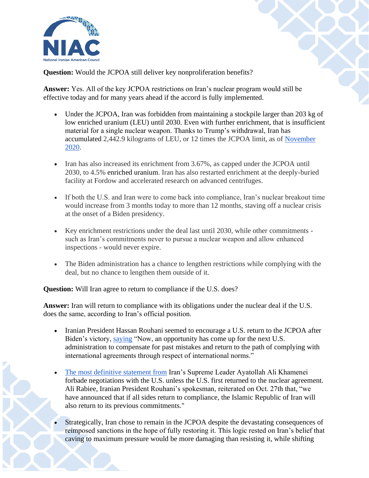

**Question:** Would the JCPOA still deliver key nonproliferation benefits?

**Answer:** Yes. All of the key JCPOA restrictions on Iran's nuclear program would still be effective today and for many years ahead if the accord is fully implemented.

- Under the JCPOA, Iran was forbidden from maintaining a stockpile larger than 203 kg of low enriched uranium (LEU) until 2030. Even with further enrichment, that is insufficient material for a single nuclear weapon. Thanks to Trump's withdrawal, Iran has accumulated 2,442.9 kilograms of LEU, or 12 times the JCPOA limit, as of [November](https://www.bbc.com/news/world-middle-east-54912402)  [2020.](https://www.bbc.com/news/world-middle-east-54912402)
- Iran has also increased its enrichment from 3.67%, as capped under the JCPOA until 2030, to 4.5% enriched uranium. Iran has also restarted enrichment at the deeply-buried facility at Fordow and accelerated research on advanced centrifuges.
- If both the U.S. and Iran were to come back into compliance, Iran's nuclear breakout time would increase from 3 months today to more than 12 months, staving off a nuclear crisis at the onset of a Biden presidency.
- Key enrichment restrictions under the deal last until 2030, while other commitments such as Iran's commitments never to pursue a nuclear weapon and allow enhanced inspections - would never expire.
- The Biden administration has a chance to lengthen restrictions while complying with the deal, but no chance to lengthen them outside of it.

**Question:** Will Iran agree to return to compliance if the U.S. does?

**Answer:** Iran will return to compliance with its obligations under the nuclear deal if the U.S. does the same, according to Iran's official position.

- Iranian President Hassan Rouhani seemed to encourage a U.S. return to the JCPOA after Biden's victory, [saying](https://news.yahoo.com/irans-president-calls-biden-return-102157554.html) "Now, an opportunity has come up for the next U.S. administration to compensate for past mistakes and return to the path of complying with international agreements through respect of international norms."
- [The most definitive statement from](https://www.atlanticcouncil.org/blogs/iransource/irans-supreme-leader-leaves-diplomatic-door-open/) Iran's Supreme Leader Ayatollah Ali Khamenei forbade negotiations with the U.S. unless the U.S. first returned to the nuclear agreement. Ali Rabiee, Iranian President Rouhani's spokesman, reiterated on Oct. 27th that, "we have announced that if all sides return to compliance, the Islamic Republic of Iran will also return to its previous commitments."
- Strategically, Iran chose to remain in the JCPOA despite the devastating consequences of reimposed sanctions in the hope of fully restoring it. This logic rested on Iran's belief that caving to maximum pressure would be more damaging than resisting it, while shifting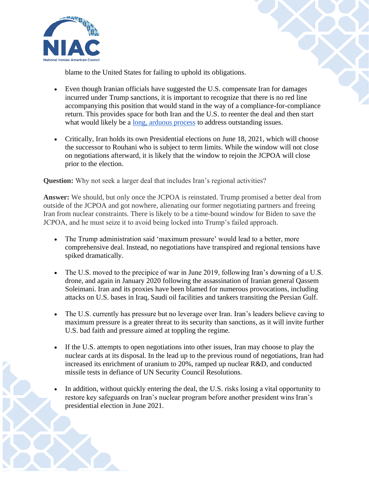

blame to the United States for failing to uphold its obligations.

- Even though Iranian officials have suggested the U.S. compensate Iran for damages incurred under Trump sanctions, it is important to recognize that there is no red line accompanying this position that would stand in the way of a compliance-for-compliance return. This provides space for both Iran and the U.S. to reenter the deal and then start what would likely be a [long, arduous process](https://rusi.org/commentary/iran-and-us-long-and-arduous-diplomatic-road) to address outstanding issues.
- Critically, Iran holds its own Presidential elections on June 18, 2021, which will choose the successor to Rouhani who is subject to term limits. While the window will not close on negotiations afterward, it is likely that the window to rejoin the JCPOA will close prior to the election.

**Question:** Why not seek a larger deal that includes Iran's regional activities?

**Answer:** We should, but only once the JCPOA is reinstated. Trump promised a better deal from outside of the JCPOA and got nowhere, alienating our former negotiating partners and freeing Iran from nuclear constraints. There is likely to be a time-bound window for Biden to save the JCPOA, and he must seize it to avoid being locked into Trump's failed approach.

- The Trump administration said 'maximum pressure' would lead to a better, more comprehensive deal. Instead, no negotiations have transpired and regional tensions have spiked dramatically.
- The U.S. moved to the precipice of war in June 2019, following Iran's downing of a U.S. drone, and again in January 2020 following the assassination of Iranian general Qassem Soleimani. Iran and its proxies have been blamed for numerous provocations, including attacks on U.S. bases in Iraq, Saudi oil facilities and tankers transiting the Persian Gulf.
- The U.S. currently has pressure but no leverage over Iran. Iran's leaders believe caving to maximum pressure is a greater threat to its security than sanctions, as it will invite further U.S. bad faith and pressure aimed at toppling the regime.
- If the U.S. attempts to open negotiations into other issues, Iran may choose to play the nuclear cards at its disposal. In the lead up to the previous round of negotiations, Iran had increased its enrichment of uranium to 20%, ramped up nuclear R&D, and conducted missile tests in defiance of UN Security Council Resolutions.
- In addition, without quickly entering the deal, the U.S. risks losing a vital opportunity to restore key safeguards on Iran's nuclear program before another president wins Iran's presidential election in June 2021.